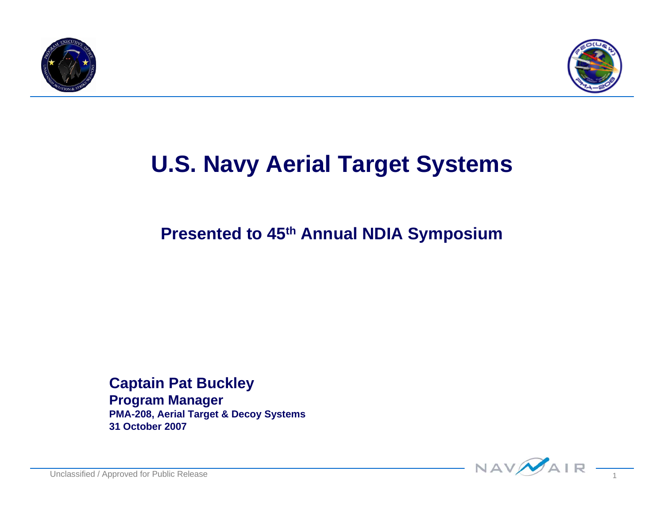



### **U.S. Navy Aerial Target Systems**

**Presented to 45th Annual NDIA Symposium**

**Captain Pat Buckley Program Manager PMA-208, Aerial Target & Decoy Systems 31 October 2007**

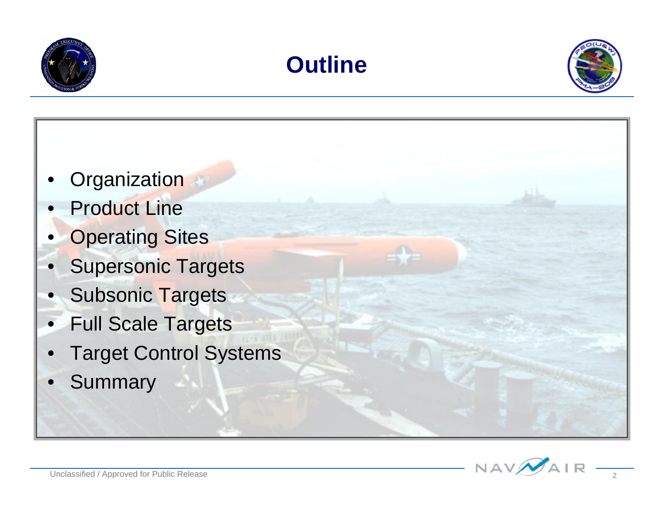





- **Organization**
- Product Line
- **Operating Sites**
- **Supersonic Targets**
- Subsonic Targets
- **Full Scale Targets**
- **Target Control Systems**
- **Summary**

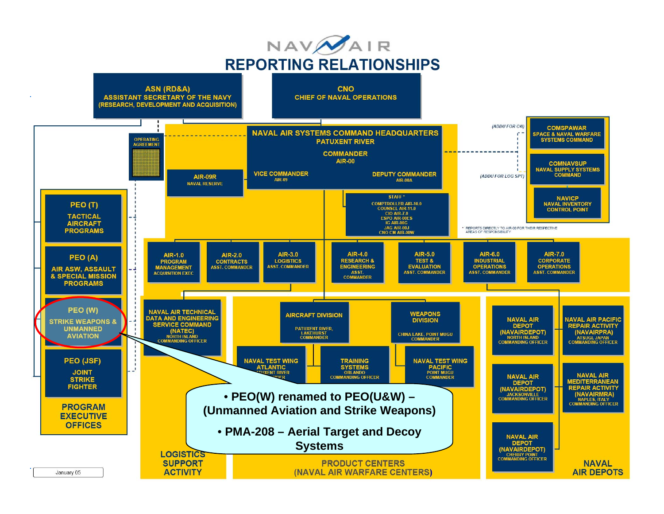

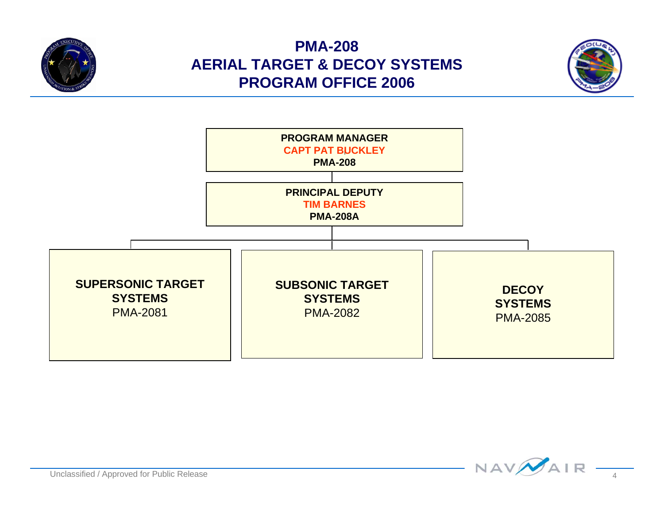

#### **PMA-208 AERIAL TARGET & DECOY SYSTEMS PROGRAM OFFICE 2006**





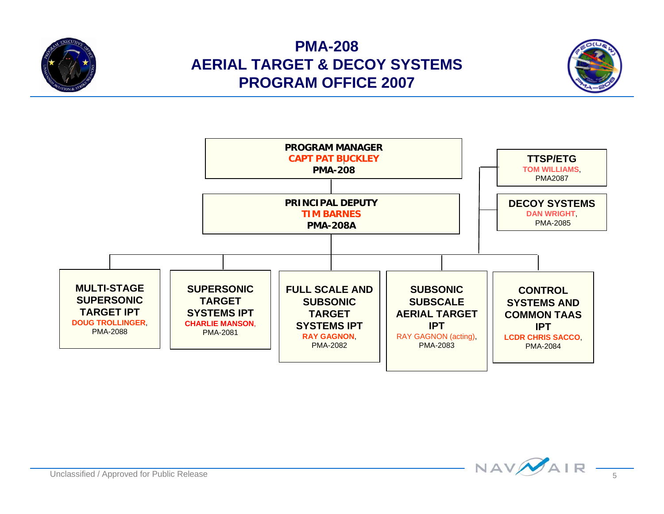

#### **PMA-208 AERIAL TARGET & DECOY SYSTEMS PROGRAM OFFICE 2007**





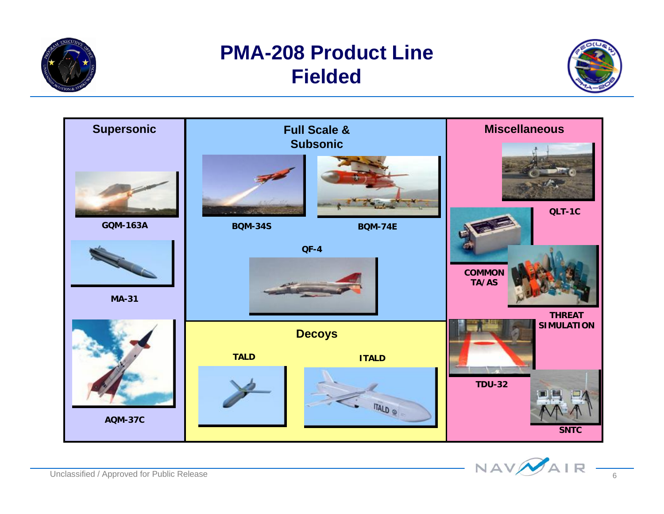

#### **PMA-208 Product Line Fielded**





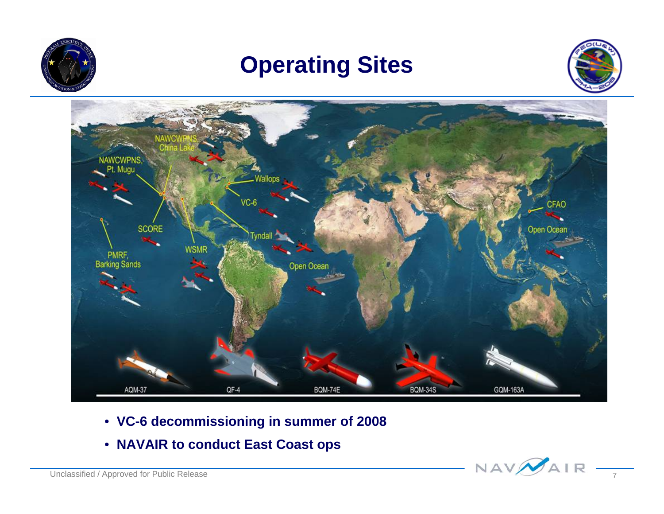

### **Operating Sites**





- **VC-6 decommissioning in summer of 2008**
- **NAVAIR to conduct East Coast ops**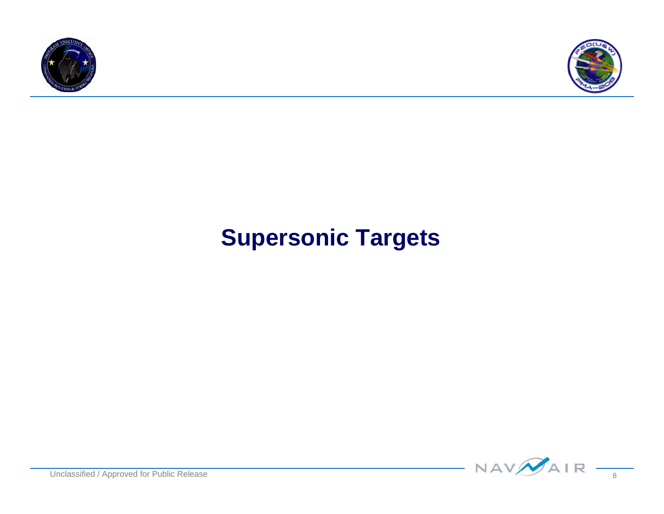



### **Supersonic Targets**

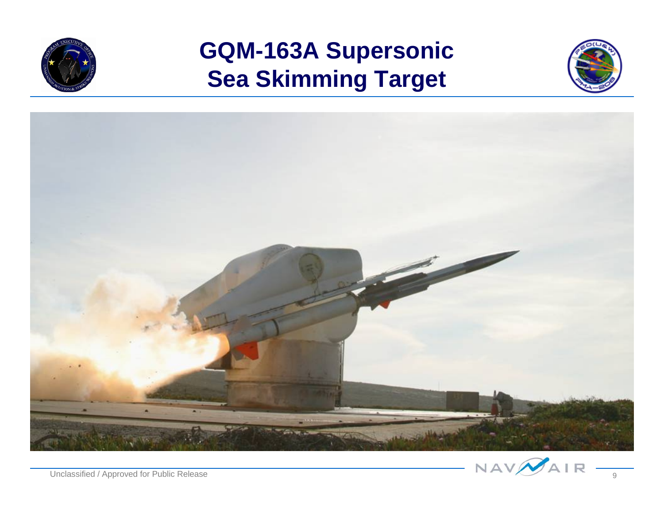

### **GQM-163A Supersonic Sea Skimming Target**





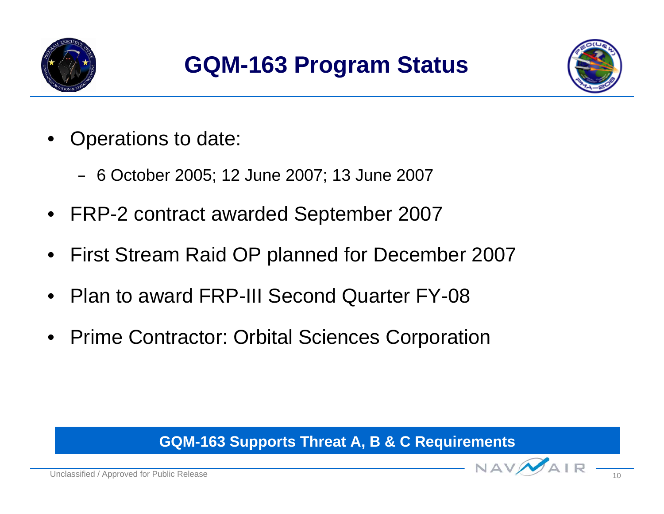



- Operations to date:
	- 6 October 2005; 12 June 2007; 13 June 2007
- FRP-2 contract awarded September 2007
- First Stream Raid OP planned for December 2007
- Plan to award FRP-III Second Quarter FY-08
- Prime Contractor: Orbital Sciences Corporation

#### **GQM-163 Supports Threat A, B & C Requirements**

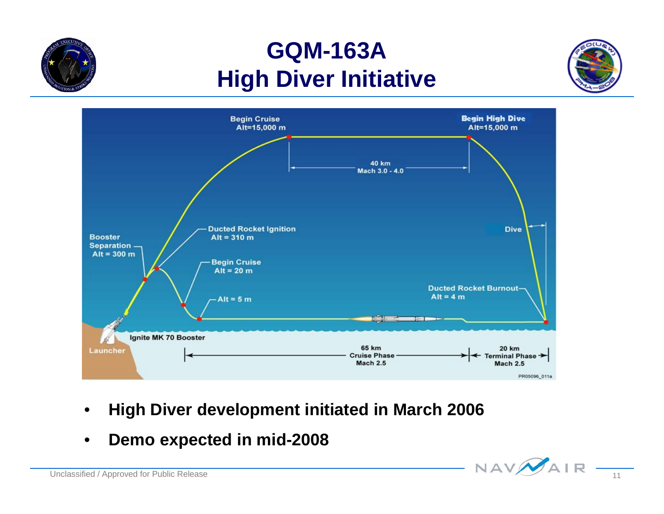### **GQM-163A High Diver Initiative**





- •**High Diver development initiated in March 2006**
- •**Demo expected in mid-2008**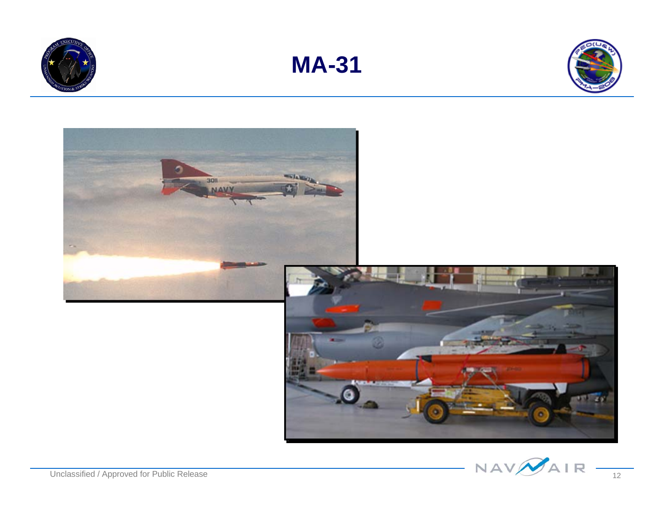







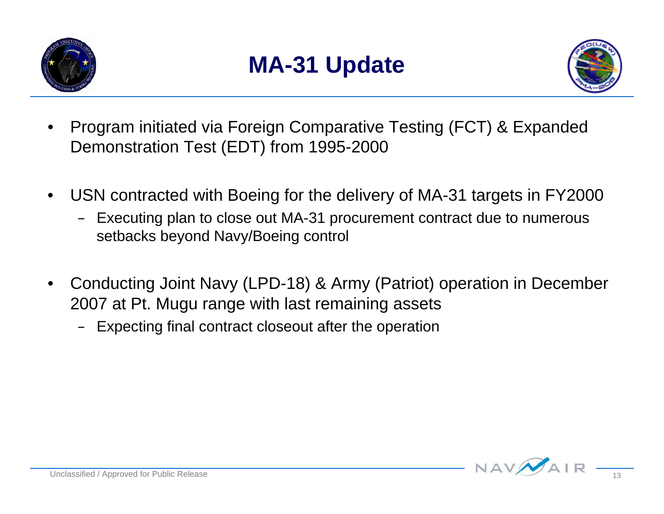



- Program initiated via Foreign Comparative Testing (FCT) & Expanded Demonstration Test (EDT) from 1995-2000
- USN contracted with Boeing for the delivery of MA-31 targets in FY2000
	- Executing plan to close out MA-31 procurement contract due to numerous setbacks beyond Navy/Boeing control
- Conducting Joint Navy (LPD-18) & Army (Patriot) operation in December 2007 at Pt. Mugu range with last remaining assets
	- Expecting final contract closeout after the operation

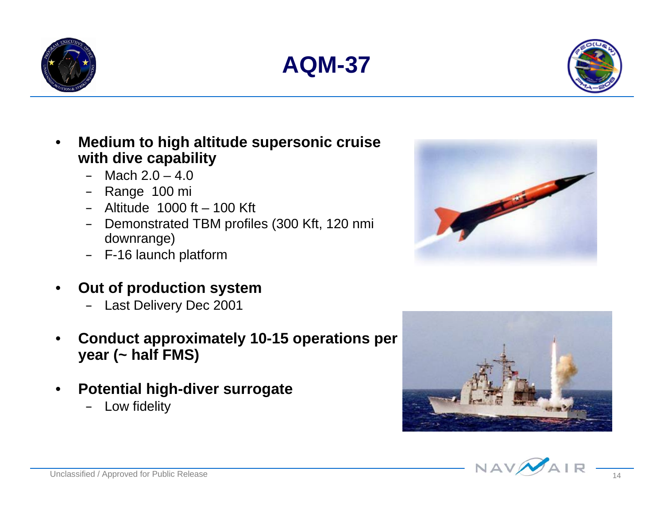





- **Medium to high altitude supersonic cruise with dive capability**
	- $-$  Mach  $2.0 4.0$
	- Range 100 mi
	- $-$  Altitude 1000 ft  $-$  100 Kft
	- Demonstrated TBM profiles (300 Kft, 120 nmi downrange)
	- F-16 launch platform
- **Out of production system**
	- Last Delivery Dec 2001
- **Conduct approximately 10-15 operations per year (~ half FMS)**
- **Potential high-diver surrogate**
	- Low fidelity





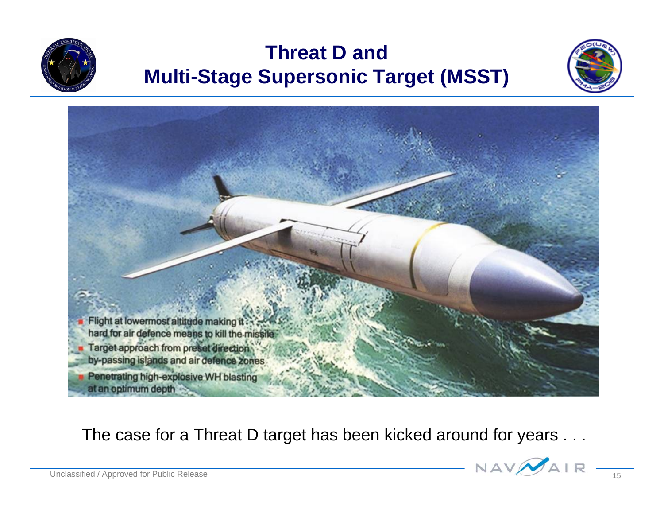

#### **Threat D and Multi-Stage Supersonic Target (MSST)**





The case for a Threat D target has been kicked around for years . . .

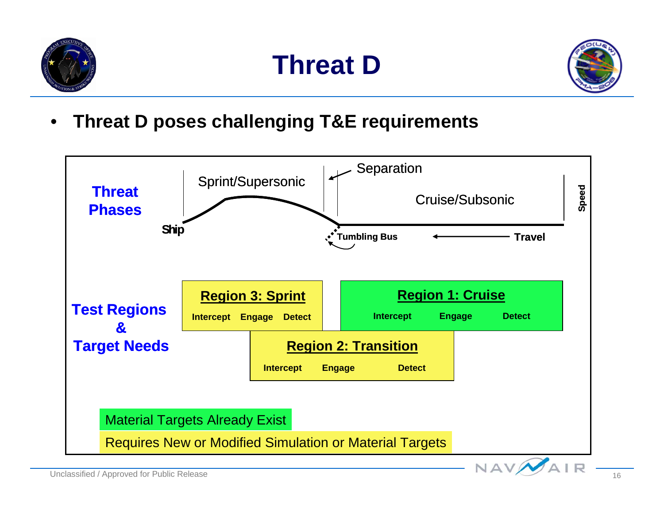





• **Threat D poses challenging T&E requirements**

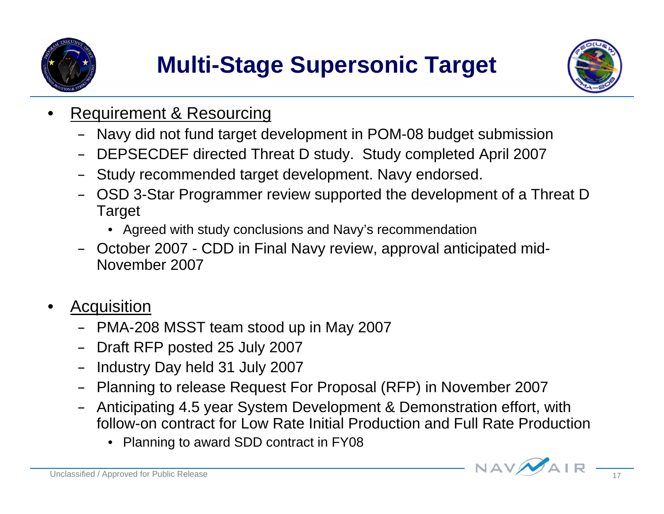



- **Requirement & Resourcing** 
	- Navy did not fund target development in POM-08 budget submission
	- DEPSECDEF directed Threat D study. Study completed April 2007
	- Study recommended target development. Navy endorsed.
	- OSD 3-Star Programmer review supported the development of a Threat D Target
		- Agreed with study conclusions and Navy's recommendation
	- October 2007 CDD in Final Navy review, approval anticipated mid-November 2007
- **Acquisition** 
	- PMA-208 MSST team stood up in May 2007
	- Draft RFP posted 25 July 2007
	- Industry Day held 31 July 2007
	- Planning to release Request For Proposal (RFP) in November 2007
	- Anticipating 4.5 year System Development & Demonstration effort, with follow-on contract for Low Rate Initial Production and Full Rate Production
		- Planning to award SDD contract in FY08

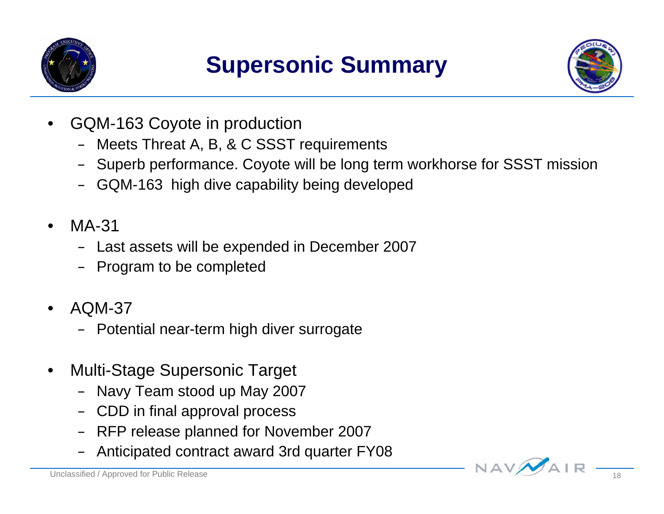



- GQM-163 Coyote in production
	- Meets Threat A, B, & C SSST requirements
	- Superb performance. Coyote will be long term workhorse for SSST mission
	- GQM-163 high dive capability being developed
- MA-31
	- Last assets will be expended in December 2007
	- Program to be completed
- AQM-37
	- Potential near-term high diver surrogate
- Multi-Stage Supersonic Target
	- Navy Team stood up May 2007
	- CDD in final approval process
	- RFP release planned for November 2007
	- Anticipated contract award 3rd quarter FY08

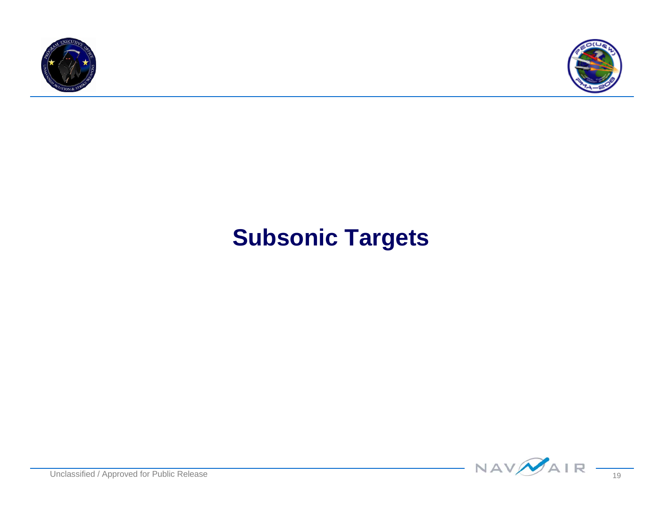



### **Subsonic Targets**

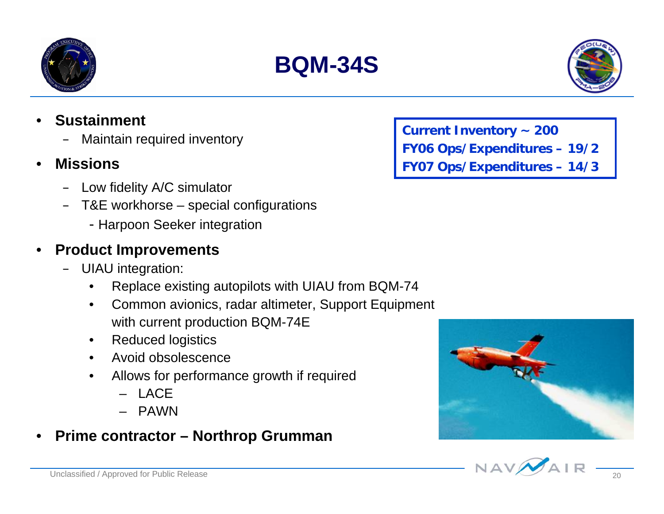#### • **Sustainment**

- Maintain required inventory
- **Missions**
	- Low fidelity A/C simulator
	- T&E workhorse special configurations
		- Harpoon Seeker integration

#### • **Product Improvements**

- UIAU integration:
	- Replace existing autopilots with UIAU from BQM-74
	- Common avionics, radar altimeter, Support Equipment with current production BQM-74E
	- Reduced logistics
	- Avoid obsolescence
	- Allows for performance growth if required
		- LACE
		- PAWN

#### • **Prime contractor – Northrop Grumman**

**Current Inventory ~ 200 FY06 Ops/Expenditures – 19/2 FY07 Ops/Expenditures – 14/3**







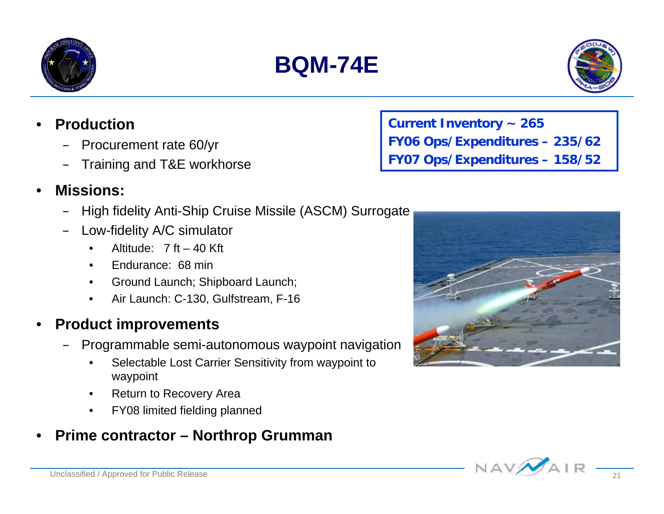

- **Production**
	- Procurement rate 60/yr
	- Training and T&E workhorse
- **Missions:**
	- High fidelity Anti-Ship Cruise Missile (ASCM) Surrogate
	- Low-fidelity A/C simulator
		- Altitude:  $7 \text{ ft} 40 \text{ Kft}$
		- Endurance: 68 min
		- Ground Launch; Shipboard Launch;
		- Air Launch: C-130, Gulfstream, F-16

#### • **Product improvements**

- Programmable semi-autonomous waypoint navigation
	- Selectable Lost Carrier Sensitivity from waypoint to waypoint
	- Return to Recovery Area
	- FY08 limited fielding planned

#### • **Prime contractor – Northrop Grumman**

**Current Inventory ~ 265 FY06 Ops/Expenditures – 235/62 FY07 Ops/Expenditures – 158/52**





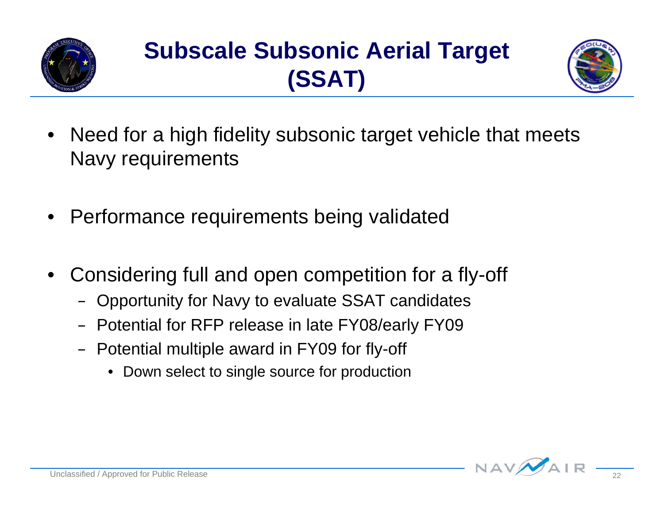

## **Subscale Subsonic Aerial Target (SSAT)**



- Need for a high fidelity subsonic target vehicle that meets Navy requirements
- Performance requirements being validated
- Considering full and open competition for a fly-off
	- Opportunity for Navy to evaluate SSAT candidates
	- Potential for RFP release in late FY08/early FY09
	- Potential multiple award in FY09 for fly-off
		- Down select to single source for production

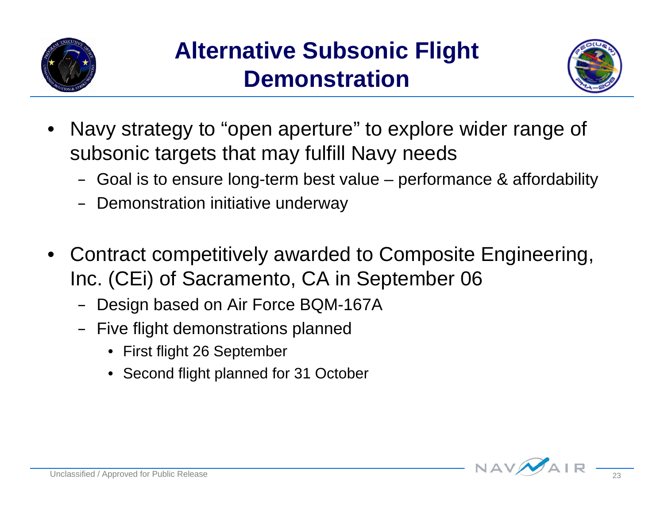



- Navy strategy to "open aperture" to explore wider range of subsonic targets that may fulfill Navy needs
	- Goal is to ensure long-term best value performance & affordability
	- Demonstration initiative underway
- Contract competitively awarded to Composite Engineering, Inc. (CEi) of Sacramento, CA in September 06
	- Design based on Air Force BQM-167A
	- Five flight demonstrations planned
		- First flight 26 September
		- Second flight planned for 31 October

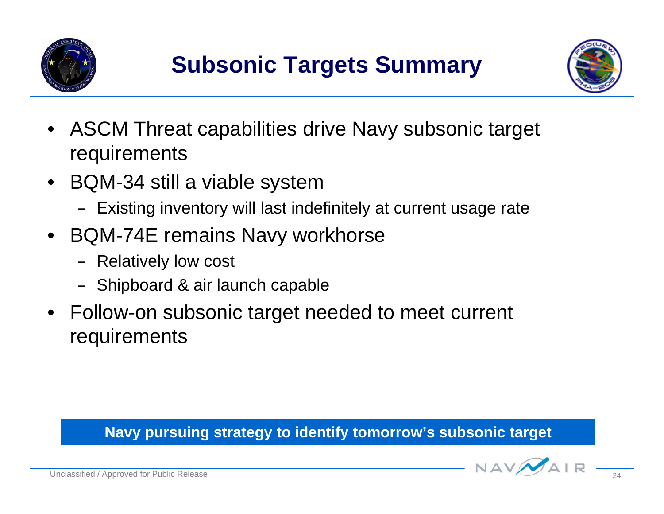



- ASCM Threat capabilities drive Navy subsonic target requirements
- BQM-34 still a viable system
	- Existing inventory will last indefinitely at current usage rate
- BQM-74E remains Navy workhorse
	- Relatively low cost
	- Shipboard & air launch capable
- Follow-on subsonic target needed to meet current requirements

#### **Navy pursuing strategy to identify tomorrow's subsonic target**

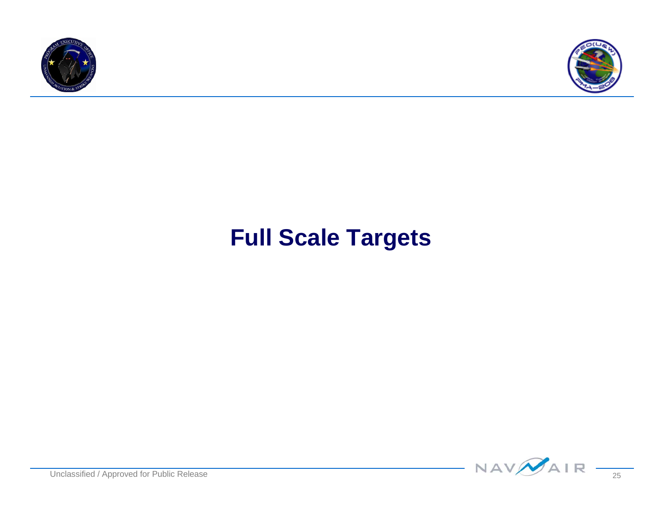



### **Full Scale Targets**

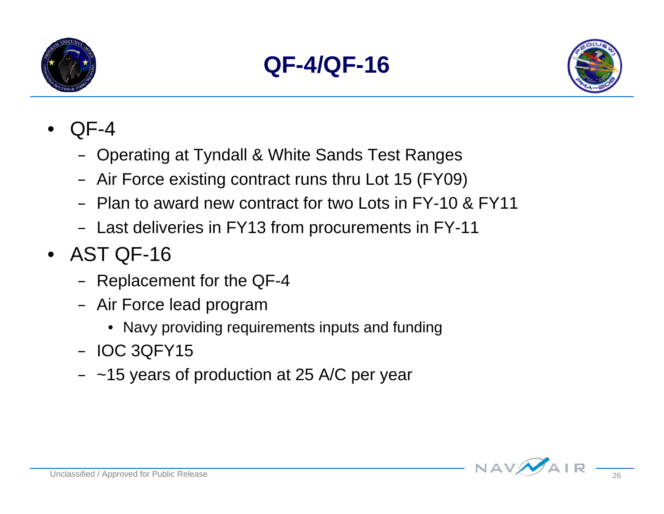





- QF-4
	- Operating at Tyndall & White Sands Test Ranges
	- Air Force existing contract runs thru Lot 15 (FY09)
	- Plan to award new contract for two Lots in FY-10 & FY11
	- Last deliveries in FY13 from procurements in FY-11
- AST QF-16
	- Replacement for the QF-4
	- Air Force lead program
		- Navy providing requirements inputs and funding
	- IOC 3QFY15
	- $-$  ~15 years of production at 25 A/C per year

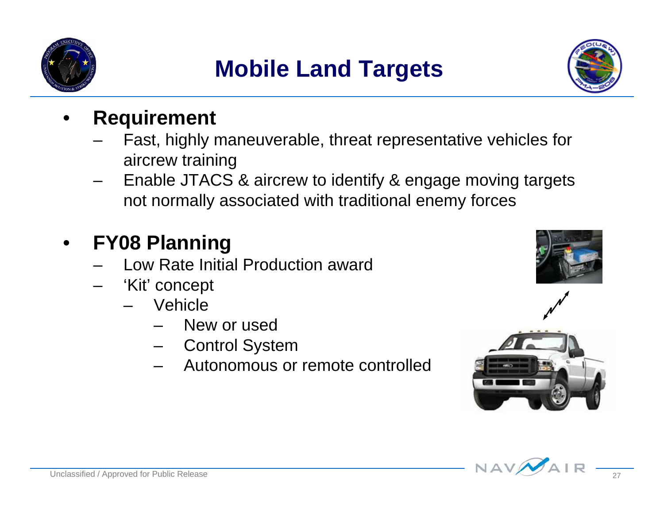

## **Mobile Land Targets**



#### • **Requirement**

- Fast, highly maneuverable, threat representative vehicles for aircrew training
- Enable JTACS & aircrew to identify & engage moving targets not normally associated with traditional enemy forces

#### • **FY08 Planning**

- Low Rate Initial Production award
- 'Kit' concept
	- Vehicle
		- New or used
		- Control System
		- Autonomous or remote controlled





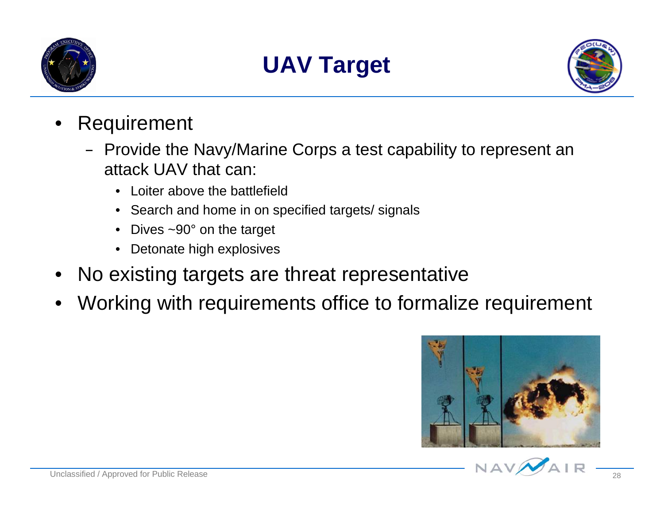

## **UAV Target**



- **Requirement** 
	- Provide the Navy/Marine Corps a test capability to represent an attack UAV that can:
		- Loiter above the battlefield
		- Search and home in on specified targets/ signals
		- Dives  $\sim$ 90 $^{\circ}$  on the target
		- Detonate high explosives
- No existing targets are threat representative
- Working with requirements office to formalize requirement



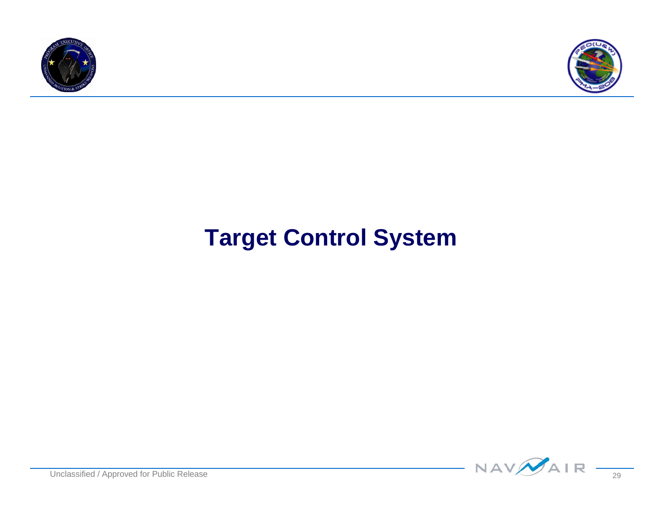



### **Target Control System**

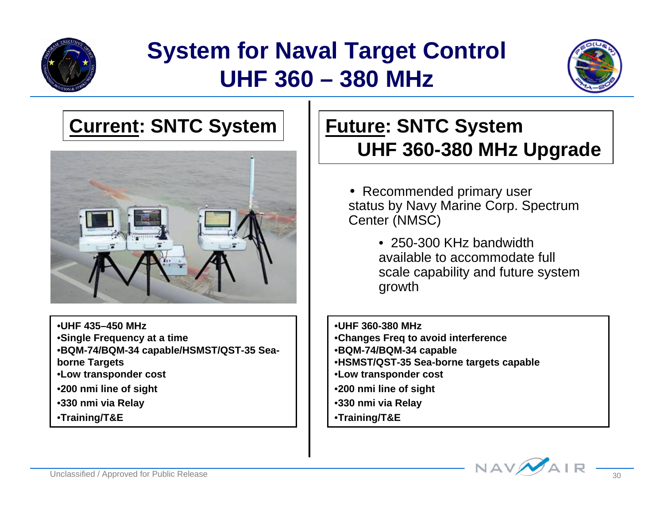

### **System for Naval Target Control UHF 360 – 380 MHz**



#### **Current: SNTC System Future: SNTC System**



•**UHF 435–450 MHz**

•**Single Frequency at a time**

•**BQM-74/BQM-34 capable/HSMST/QST-35 Sea-**

**borne Targets**

- •**Low transponder cost**
- •**200 nmi line of sight**
- •**330 nmi via Relay**
- •**Training/T&E**

# **UHF 360-380 MHz Upgrade**

• Recommended primary user status by Navy Marine Corp. Spectrum Center (NMSC)

> • 250-300 KHz bandwidth available to accommodate full scale capability and future system growth

•**UHF 360-380 MHz**

- •**Changes Freq to avoid interference**
- •**BQM-74/BQM-34 capable**
- •**HSMST/QST-35 Sea-borne targets capable**
- •**Low transponder cost**
- •**200 nmi line of sight**
- •**330 nmi via Relay**
- •**Training/T&E**

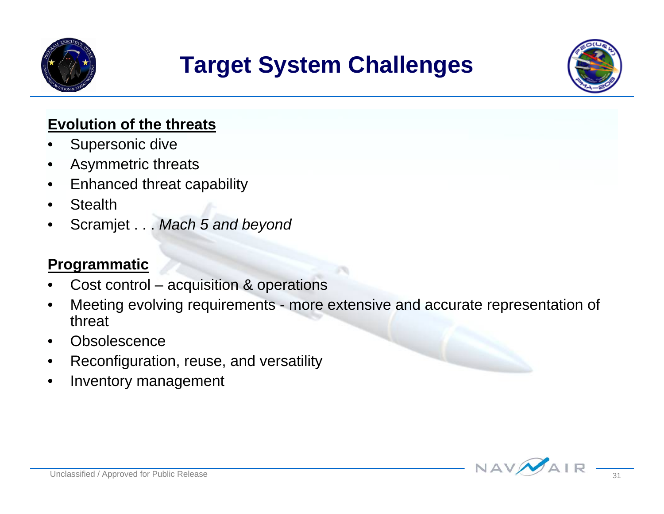

### **Target System Challenges**



#### **Evolution of the threats**

- Supersonic dive
- Asymmetric threats
- Enhanced threat capability
- **Stealth**
- Scramjet . . . *Mach 5 and beyond*

#### **Programmatic**

- Cost control acquisition & operations
- Meeting evolving requirements more extensive and accurate representation of threat
- **Obsolescence**
- Reconfiguration, reuse, and versatility
- Inventory management

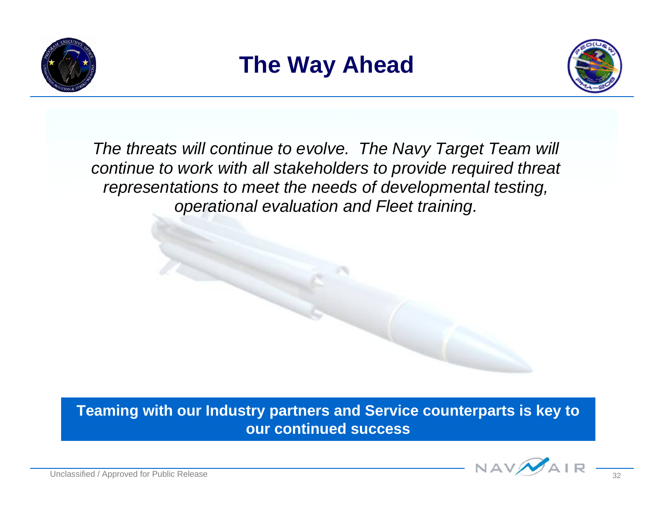





*The threats will continue to evolve. The Navy Target Team will continue to work with all stakeholders to provide required threat representations to meet the needs of developmental testing, operational evaluation and Fleet training.*

**Teaming with our Industry partners and Service counterparts is key to our continued success**

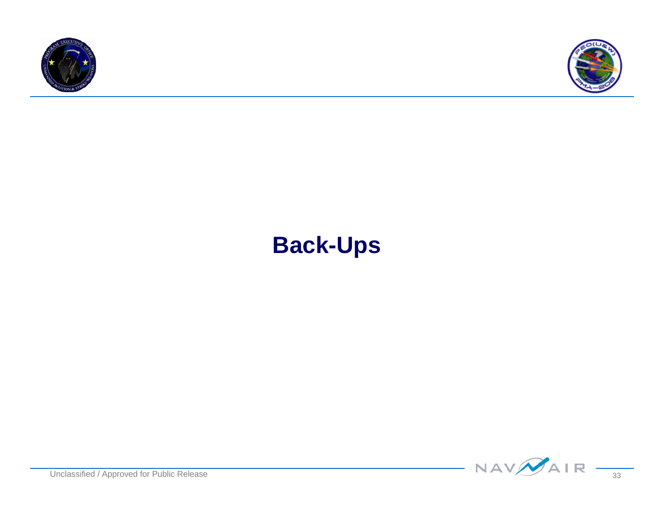



### **Back-Ups**